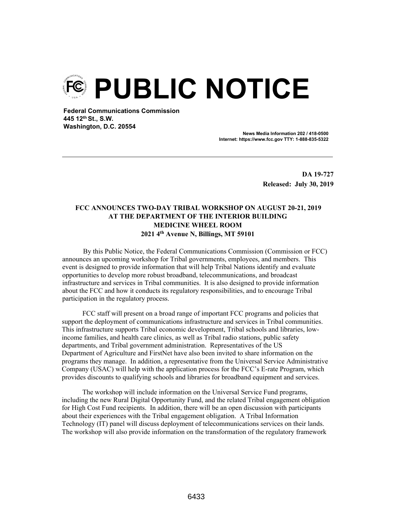**PUBLIC NOTICE** 

**Federal Communications Commission 445 12th St., S.W. Washington, D.C. 20554**

> **News Media Information 202 / 418-0500 Internet: https://www.fcc.gov TTY: 1-888-835-5322**

> > **DA 19-727 Released: July 30, 2019**

## **FCC ANNOUNCES TWO-DAY TRIBAL WORKSHOP ON AUGUST 20-21, 2019 AT THE DEPARTMENT OF THE INTERIOR BUILDING MEDICINE WHEEL ROOM 2021 4th Avenue N, Billings, MT 59101**

By this Public Notice, the Federal Communications Commission (Commission or FCC) announces an upcoming workshop for Tribal governments, employees, and members. This event is designed to provide information that will help Tribal Nations identify and evaluate opportunities to develop more robust broadband, telecommunications, and broadcast infrastructure and services in Tribal communities. It is also designed to provide information about the FCC and how it conducts its regulatory responsibilities, and to encourage Tribal participation in the regulatory process.

FCC staff will present on a broad range of important FCC programs and policies that support the deployment of communications infrastructure and services in Tribal communities. This infrastructure supports Tribal economic development, Tribal schools and libraries, lowincome families, and health care clinics, as well as Tribal radio stations, public safety departments, and Tribal government administration. Representatives of the US Department of Agriculture and FirstNet have also been invited to share information on the programs they manage. In addition, a representative from the Universal Service Administrative Company (USAC) will help with the application process for the FCC's E-rate Program, which provides discounts to qualifying schools and libraries for broadband equipment and services.

The workshop will include information on the Universal Service Fund programs, including the new Rural Digital Opportunity Fund, and the related Tribal engagement obligation for High Cost Fund recipients. In addition, there will be an open discussion with participants about their experiences with the Tribal engagement obligation. A Tribal Information Technology (IT) panel will discuss deployment of telecommunications services on their lands. The workshop will also provide information on the transformation of the regulatory framework